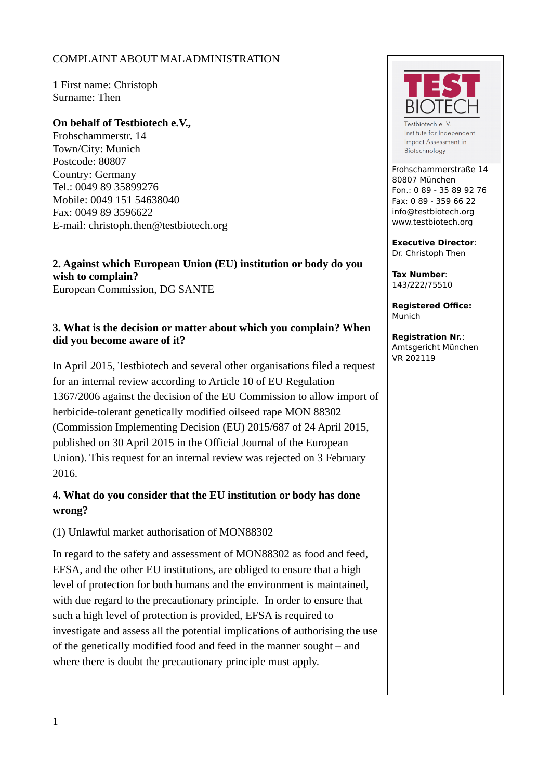### COMPLAINT ABOUT MALADMINISTRATION

**1** First name: Christoph Surname: Then

#### **On behalf of Testbiotech e.V.,**

Frohschammerstr. 14 Town/City: Munich Postcode: 80807 Country: Germany Tel.: 0049 89 35899276 Mobile: 0049 151 54638040 Fax: 0049 89 3596622 E-mail: christoph.then@testbiotech.org

**2. Against which European Union (EU) institution or body do you wish to complain?** European Commission, DG SANTE

### **3. What is the decision or matter about which you complain? When did you become aware of it?**

In April 2015, Testbiotech and several other organisations filed a request for an internal review according to Article 10 of EU Regulation 1367/2006 against the decision of the EU Commission to allow import of herbicide-tolerant genetically modified oilseed rape MON 88302 (Commission Implementing Decision (EU) 2015/687 of 24 April 2015, published on 30 April 2015 in the Official Journal of the European Union). This request for an internal review was rejected on 3 February 2016.

## **4. What do you consider that the EU institution or body has done wrong?**

#### (1) Unlawful market authorisation of MON88302

In regard to the safety and assessment of MON88302 as food and feed, EFSA, and the other EU institutions, are obliged to ensure that a high level of protection for both humans and the environment is maintained, with due regard to the precautionary principle. In order to ensure that such a high level of protection is provided, EFSA is required to investigate and assess all the potential implications of authorising the use of the genetically modified food and feed in the manner sought – and where there is doubt the precautionary principle must apply.



Testbiotech e. V Institute for Independent Impact Assessment in Biotechnology

Frohschammerstraße 14 80807 München Fon.: 0 89 - 35 89 92 76 Fax: 0 89 - 359 66 22 info@testbiotech.org www.testbiotech.org

**Executive Director**: Dr. Christoph Then

**Tax Number**: 143/222/75510

**Registered Office:** Munich

**Registration Nr.**: Amtsgericht München VR 202119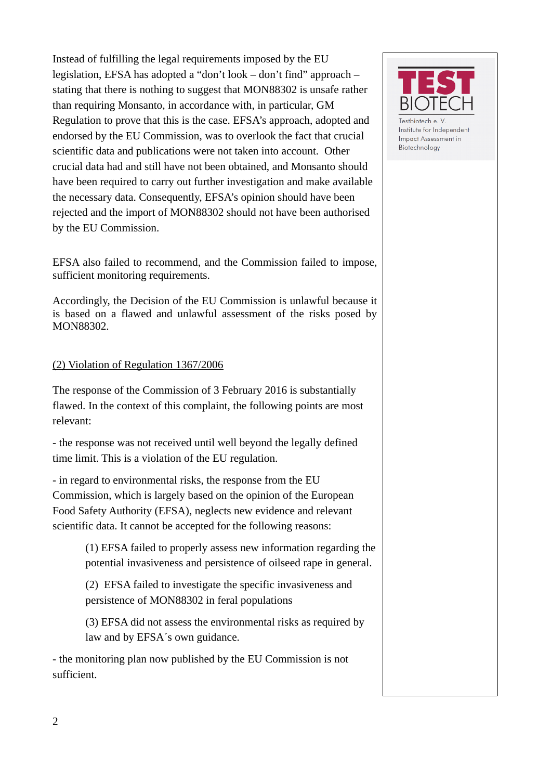Instead of fulfilling the legal requirements imposed by the EU legislation, EFSA has adopted a "don't look – don't find" approach – stating that there is nothing to suggest that MON88302 is unsafe rather than requiring Monsanto, in accordance with, in particular, GM Regulation to prove that this is the case. EFSA's approach, adopted and endorsed by the EU Commission, was to overlook the fact that crucial scientific data and publications were not taken into account. Other crucial data had and still have not been obtained, and Monsanto should have been required to carry out further investigation and make available the necessary data. Consequently, EFSA's opinion should have been rejected and the import of MON88302 should not have been authorised by the EU Commission.

EFSA also failed to recommend, and the Commission failed to impose, sufficient monitoring requirements.

Accordingly, the Decision of the EU Commission is unlawful because it is based on a flawed and unlawful assessment of the risks posed by MON88302.

#### (2) Violation of Regulation 1367/2006

The response of the Commission of 3 February 2016 is substantially flawed. In the context of this complaint, the following points are most relevant:

- the response was not received until well beyond the legally defined time limit. This is a violation of the EU regulation.

- in regard to environmental risks, the response from the EU Commission, which is largely based on the opinion of the European Food Safety Authority (EFSA), neglects new evidence and relevant scientific data. It cannot be accepted for the following reasons:

> (1) EFSA failed to properly assess new information regarding the potential invasiveness and persistence of oilseed rape in general.

(2) EFSA failed to investigate the specific invasiveness and persistence of MON88302 in feral populations

(3) EFSA did not assess the environmental risks as required by law and by EFSA´s own guidance.

- the monitoring plan now published by the EU Commission is not sufficient.



Testbiotech e.V. Institute for Independent Impact Assessment in Biotechnology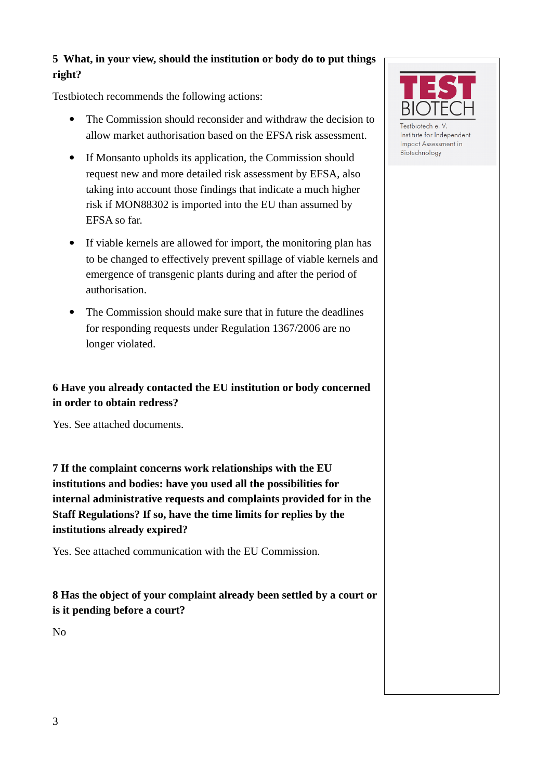## **5 What, in your view, should the institution or body do to put things right?**

Testbiotech recommends the following actions:

- The Commission should reconsider and withdraw the decision to allow market authorisation based on the EFSA risk assessment.
- If Monsanto upholds its application, the Commission should request new and more detailed risk assessment by EFSA, also taking into account those findings that indicate a much higher risk if MON88302 is imported into the EU than assumed by EFSA so far.
- If viable kernels are allowed for import, the monitoring plan has to be changed to effectively prevent spillage of viable kernels and emergence of transgenic plants during and after the period of authorisation.
- The Commission should make sure that in future the deadlines for responding requests under Regulation 1367/2006 are no longer violated.

# **6 Have you already contacted the EU institution or body concerned in order to obtain redress?**

Yes. See attached documents.

**7 If the complaint concerns work relationships with the EU institutions and bodies: have you used all the possibilities for internal administrative requests and complaints provided for in the Staff Regulations? If so, have the time limits for replies by the institutions already expired?**

Yes. See attached communication with the EU Commission.

# **8 Has the object of your complaint already been settled by a court or is it pending before a court?**

No



Testbiotech e. V Institute for Independent Impact Assessment in Biotechnology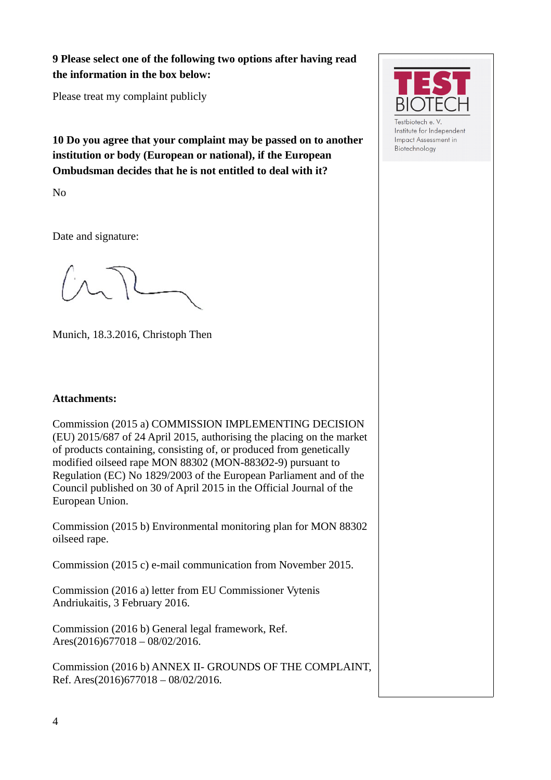**9 Please select one of the following two options after having read the information in the box below:**

Please treat my complaint publicly

**10 Do you agree that your complaint may be passed on to another institution or body (European or national), if the European Ombudsman decides that he is not entitled to deal with it?**

No

Date and signature:

Munich, 18.3.2016, Christoph Then

#### **Attachments:**

Commission (2015 a) COMMISSION IMPLEMENTING DECISION (EU) 2015/687 of 24 April 2015, authorising the placing on the market of products containing, consisting of, or produced from genetically modified oilseed rape MON 88302 (MON-883Ø2-9) pursuant to Regulation (EC) No 1829/2003 of the European Parliament and of the Council published on 30 of April 2015 in the Official Journal of the European Union.

Commission (2015 b) Environmental monitoring plan for MON 88302 oilseed rape.

Commission (2015 c) e-mail communication from November 2015.

Commission (2016 a) letter from EU Commissioner Vytenis Andriukaitis, 3 February 2016.

Commission (2016 b) General legal framework, Ref. Ares(2016)677018 – 08/02/2016.

Commission (2016 b) ANNEX II- GROUNDS OF THE COMPLAINT, Ref. Ares(2016)677018 – 08/02/2016.



estbiotech e. Institute for Independent Impact Assessment in Biotechnology